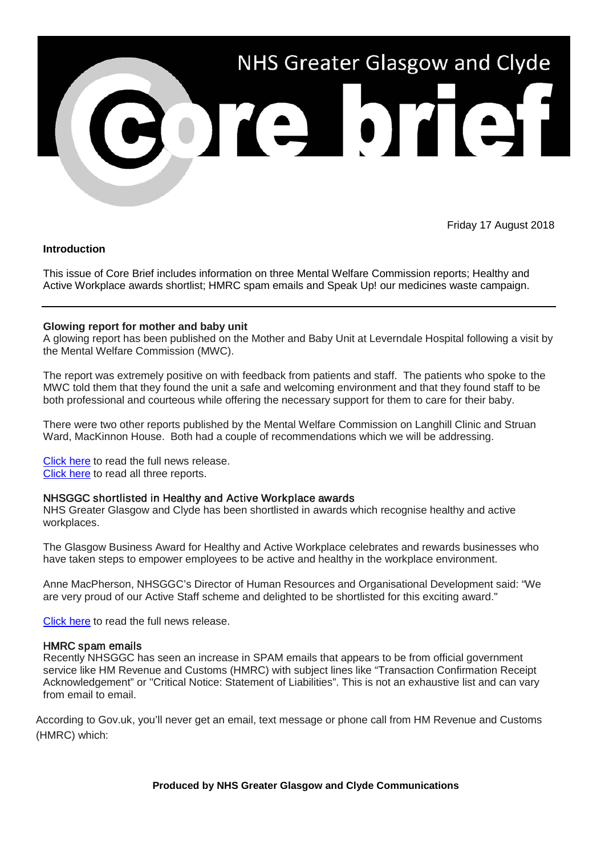

Friday 17 August 2018

# **Introduction**

This issue of Core Brief includes information on three Mental Welfare Commission reports; Healthy and Active Workplace awards shortlist; HMRC spam emails and Speak Up! our medicines waste campaign.

# **Glowing report for mother and baby unit**

A glowing report has been published on the Mother and Baby Unit at Leverndale Hospital following a visit by the Mental Welfare Commission (MWC).

The report was extremely positive on with feedback from patients and staff. The patients who spoke to the MWC told them that they found the unit a safe and welcoming environment and that they found staff to be both professional and courteous while offering the necessary support for them to care for their baby.

There were two other reports published by the Mental Welfare Commission on Langhill Clinic and Struan Ward, MacKinnon House. Both had a couple of recommendations which we will be addressing.

[Click here](http://www.nhsggc.org.uk/about-us/media-centre/news/2018/08/mother-and-baby-unit/?utm_source=Core_Brief&utm_medium=email&utm_campaign=NR_MWC_Reports) to read the full news release. [Click here](https://www.mwcscot.org.uk/about-us/latest-news/commission-publishes-eight-new-local-visit-reports-16-august-2018/) to read all three reports.

## NHSGGC shortlisted in Healthy and Active Workplace awards

NHS Greater Glasgow and Clyde has been shortlisted in awards which recognise healthy and active workplaces.

The Glasgow Business Award for Healthy and Active Workplace celebrates and rewards businesses who have taken steps to empower employees to be active and healthy in the workplace environment.

Anne MacPherson, NHSGGC's Director of Human Resources and Organisational Development said: "We are very proud of our Active Staff scheme and delighted to be shortlisted for this exciting award."

[Click here](http://www.nhsggc.org.uk/about-us/media-centre/news/2018/08/nhsggc-shortlisted-in-healthy-and-active-workplace-awards/?utm_source=Core_Brief&utm_medium=email&utm_campaign=NR_activestaff_shortlist) to read the full news release.

## HMRC spam emails

Recently NHSGGC has seen an increase in SPAM emails that appears to be from official government service like HM Revenue and Customs (HMRC) with subject lines like "Transaction Confirmation Receipt Acknowledgement" or ''Critical Notice: Statement of Liabilities". This is not an exhaustive list and can vary from email to email.

According to Gov.uk, you'll never get an email, text message or phone call from HM Revenue and Customs (HMRC) which:

## **Produced by NHS Greater Glasgow and Clyde Communications**